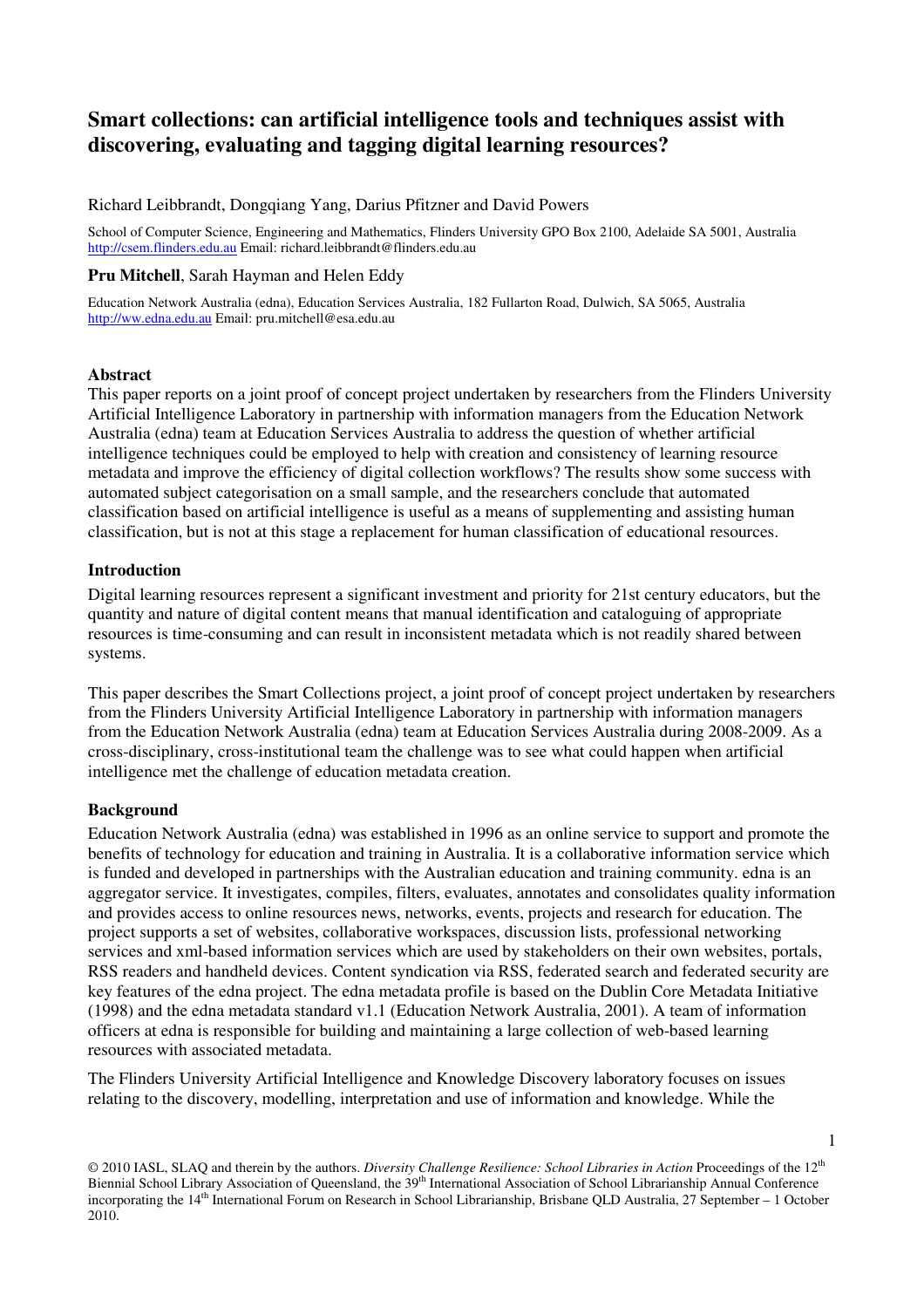# **Smart collections: can artificial intelligence tools and techniques assist with discovering, evaluating and tagging digital learning resources?**

#### Richard Leibbrandt, Dongqiang Yang, Darius Pfitzner and David Powers

School of Computer Science, Engineering and Mathematics, Flinders University GPO Box 2100, Adelaide SA 5001, Australia http://csem.flinders.edu.au Email: richard.leibbrandt@flinders.edu.au

#### **Pru Mitchell**, Sarah Hayman and Helen Eddy

Education Network Australia (edna), Education Services Australia, 182 Fullarton Road, Dulwich, SA 5065, Australia http://ww.edna.edu.au Email: pru.mitchell@esa.edu.au

#### **Abstract**

This paper reports on a joint proof of concept project undertaken by researchers from the Flinders University Artificial Intelligence Laboratory in partnership with information managers from the Education Network Australia (edna) team at Education Services Australia to address the question of whether artificial intelligence techniques could be employed to help with creation and consistency of learning resource metadata and improve the efficiency of digital collection workflows? The results show some success with automated subject categorisation on a small sample, and the researchers conclude that automated classification based on artificial intelligence is useful as a means of supplementing and assisting human classification, but is not at this stage a replacement for human classification of educational resources.

#### **Introduction**

Digital learning resources represent a significant investment and priority for 21st century educators, but the quantity and nature of digital content means that manual identification and cataloguing of appropriate resources is time-consuming and can result in inconsistent metadata which is not readily shared between systems.

This paper describes the Smart Collections project, a joint proof of concept project undertaken by researchers from the Flinders University Artificial Intelligence Laboratory in partnership with information managers from the Education Network Australia (edna) team at Education Services Australia during 2008-2009. As a cross-disciplinary, cross-institutional team the challenge was to see what could happen when artificial intelligence met the challenge of education metadata creation.

#### **Background**

Education Network Australia (edna) was established in 1996 as an online service to support and promote the benefits of technology for education and training in Australia. It is a collaborative information service which is funded and developed in partnerships with the Australian education and training community. edna is an aggregator service. It investigates, compiles, filters, evaluates, annotates and consolidates quality information and provides access to online resources news, networks, events, projects and research for education. The project supports a set of websites, collaborative workspaces, discussion lists, professional networking services and xml-based information services which are used by stakeholders on their own websites, portals, RSS readers and handheld devices. Content syndication via RSS, federated search and federated security are key features of the edna project. The edna metadata profile is based on the Dublin Core Metadata Initiative (1998) and the edna metadata standard v1.1 (Education Network Australia, 2001). A team of information officers at edna is responsible for building and maintaining a large collection of web-based learning resources with associated metadata.

The Flinders University Artificial Intelligence and Knowledge Discovery laboratory focuses on issues relating to the discovery, modelling, interpretation and use of information and knowledge. While the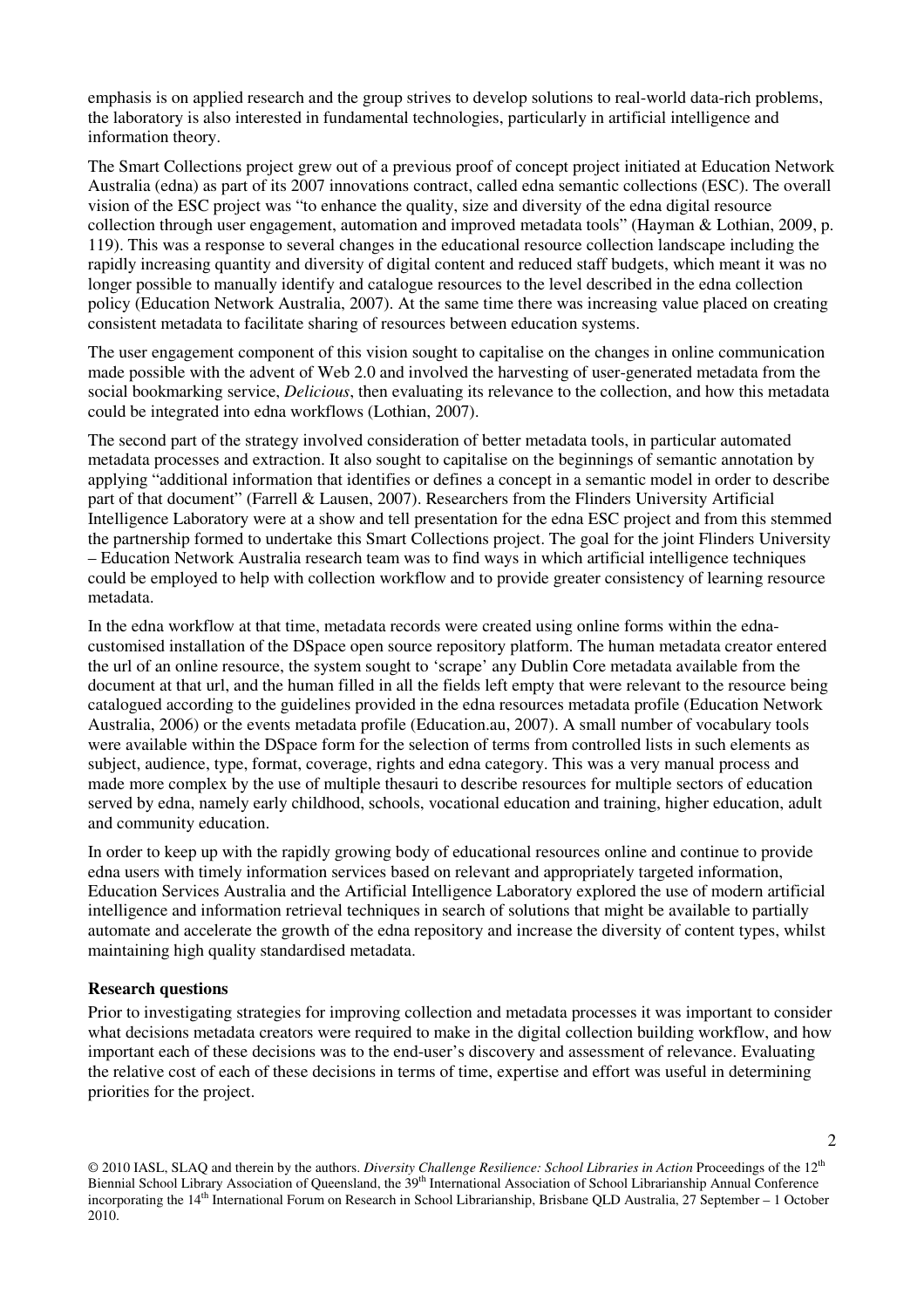emphasis is on applied research and the group strives to develop solutions to real-world data-rich problems, the laboratory is also interested in fundamental technologies, particularly in artificial intelligence and information theory.

The Smart Collections project grew out of a previous proof of concept project initiated at Education Network Australia (edna) as part of its 2007 innovations contract, called edna semantic collections (ESC). The overall vision of the ESC project was "to enhance the quality, size and diversity of the edna digital resource collection through user engagement, automation and improved metadata tools" (Hayman & Lothian, 2009, p. 119). This was a response to several changes in the educational resource collection landscape including the rapidly increasing quantity and diversity of digital content and reduced staff budgets, which meant it was no longer possible to manually identify and catalogue resources to the level described in the edna collection policy (Education Network Australia, 2007). At the same time there was increasing value placed on creating consistent metadata to facilitate sharing of resources between education systems.

The user engagement component of this vision sought to capitalise on the changes in online communication made possible with the advent of Web 2.0 and involved the harvesting of user-generated metadata from the social bookmarking service, *Delicious*, then evaluating its relevance to the collection, and how this metadata could be integrated into edna workflows (Lothian, 2007).

The second part of the strategy involved consideration of better metadata tools, in particular automated metadata processes and extraction. It also sought to capitalise on the beginnings of semantic annotation by applying "additional information that identifies or defines a concept in a semantic model in order to describe part of that document" (Farrell & Lausen, 2007). Researchers from the Flinders University Artificial Intelligence Laboratory were at a show and tell presentation for the edna ESC project and from this stemmed the partnership formed to undertake this Smart Collections project. The goal for the joint Flinders University – Education Network Australia research team was to find ways in which artificial intelligence techniques could be employed to help with collection workflow and to provide greater consistency of learning resource metadata.

In the edna workflow at that time, metadata records were created using online forms within the ednacustomised installation of the DSpace open source repository platform. The human metadata creator entered the url of an online resource, the system sought to 'scrape' any Dublin Core metadata available from the document at that url, and the human filled in all the fields left empty that were relevant to the resource being catalogued according to the guidelines provided in the edna resources metadata profile (Education Network Australia, 2006) or the events metadata profile (Education.au, 2007). A small number of vocabulary tools were available within the DSpace form for the selection of terms from controlled lists in such elements as subject, audience, type, format, coverage, rights and edna category. This was a very manual process and made more complex by the use of multiple thesauri to describe resources for multiple sectors of education served by edna, namely early childhood, schools, vocational education and training, higher education, adult and community education.

In order to keep up with the rapidly growing body of educational resources online and continue to provide edna users with timely information services based on relevant and appropriately targeted information, Education Services Australia and the Artificial Intelligence Laboratory explored the use of modern artificial intelligence and information retrieval techniques in search of solutions that might be available to partially automate and accelerate the growth of the edna repository and increase the diversity of content types, whilst maintaining high quality standardised metadata.

#### **Research questions**

Prior to investigating strategies for improving collection and metadata processes it was important to consider what decisions metadata creators were required to make in the digital collection building workflow, and how important each of these decisions was to the end-user's discovery and assessment of relevance. Evaluating the relative cost of each of these decisions in terms of time, expertise and effort was useful in determining priorities for the project.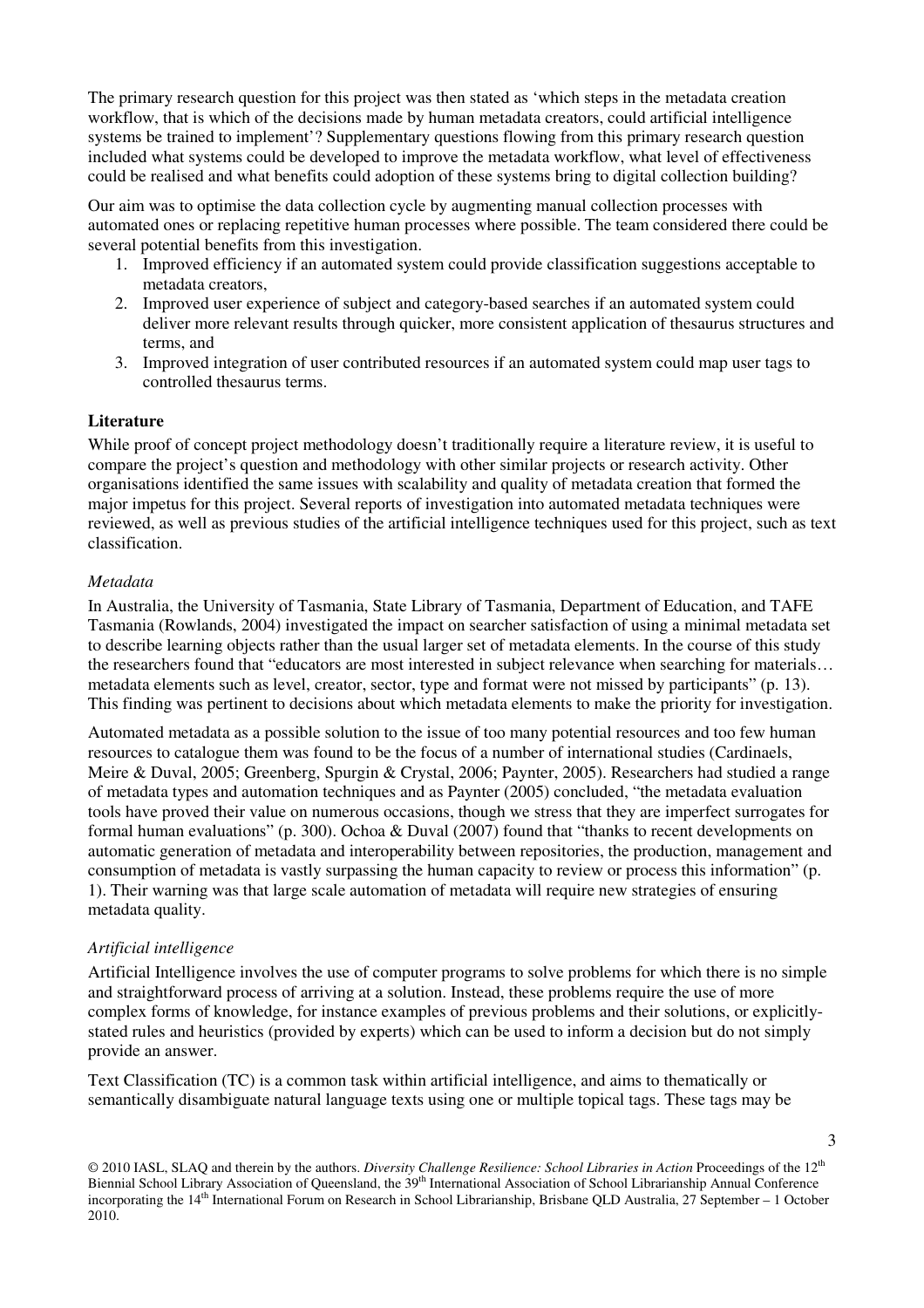The primary research question for this project was then stated as 'which steps in the metadata creation workflow, that is which of the decisions made by human metadata creators, could artificial intelligence systems be trained to implement'? Supplementary questions flowing from this primary research question included what systems could be developed to improve the metadata workflow, what level of effectiveness could be realised and what benefits could adoption of these systems bring to digital collection building?

Our aim was to optimise the data collection cycle by augmenting manual collection processes with automated ones or replacing repetitive human processes where possible. The team considered there could be several potential benefits from this investigation.

- 1. Improved efficiency if an automated system could provide classification suggestions acceptable to metadata creators,
- 2. Improved user experience of subject and category-based searches if an automated system could deliver more relevant results through quicker, more consistent application of thesaurus structures and terms, and
- 3. Improved integration of user contributed resources if an automated system could map user tags to controlled thesaurus terms.

#### **Literature**

While proof of concept project methodology doesn't traditionally require a literature review, it is useful to compare the project's question and methodology with other similar projects or research activity. Other organisations identified the same issues with scalability and quality of metadata creation that formed the major impetus for this project. Several reports of investigation into automated metadata techniques were reviewed, as well as previous studies of the artificial intelligence techniques used for this project, such as text classification.

#### *Metadata*

In Australia, the University of Tasmania, State Library of Tasmania, Department of Education, and TAFE Tasmania (Rowlands, 2004) investigated the impact on searcher satisfaction of using a minimal metadata set to describe learning objects rather than the usual larger set of metadata elements. In the course of this study the researchers found that "educators are most interested in subject relevance when searching for materials… metadata elements such as level, creator, sector, type and format were not missed by participants" (p. 13). This finding was pertinent to decisions about which metadata elements to make the priority for investigation.

Automated metadata as a possible solution to the issue of too many potential resources and too few human resources to catalogue them was found to be the focus of a number of international studies (Cardinaels, Meire & Duval, 2005; Greenberg, Spurgin & Crystal, 2006; Paynter, 2005). Researchers had studied a range of metadata types and automation techniques and as Paynter (2005) concluded, "the metadata evaluation tools have proved their value on numerous occasions, though we stress that they are imperfect surrogates for formal human evaluations" (p. 300). Ochoa & Duval (2007) found that "thanks to recent developments on automatic generation of metadata and interoperability between repositories, the production, management and consumption of metadata is vastly surpassing the human capacity to review or process this information" (p. 1). Their warning was that large scale automation of metadata will require new strategies of ensuring metadata quality.

# *Artificial intelligence*

Artificial Intelligence involves the use of computer programs to solve problems for which there is no simple and straightforward process of arriving at a solution. Instead, these problems require the use of more complex forms of knowledge, for instance examples of previous problems and their solutions, or explicitlystated rules and heuristics (provided by experts) which can be used to inform a decision but do not simply provide an answer.

Text Classification (TC) is a common task within artificial intelligence, and aims to thematically or semantically disambiguate natural language texts using one or multiple topical tags. These tags may be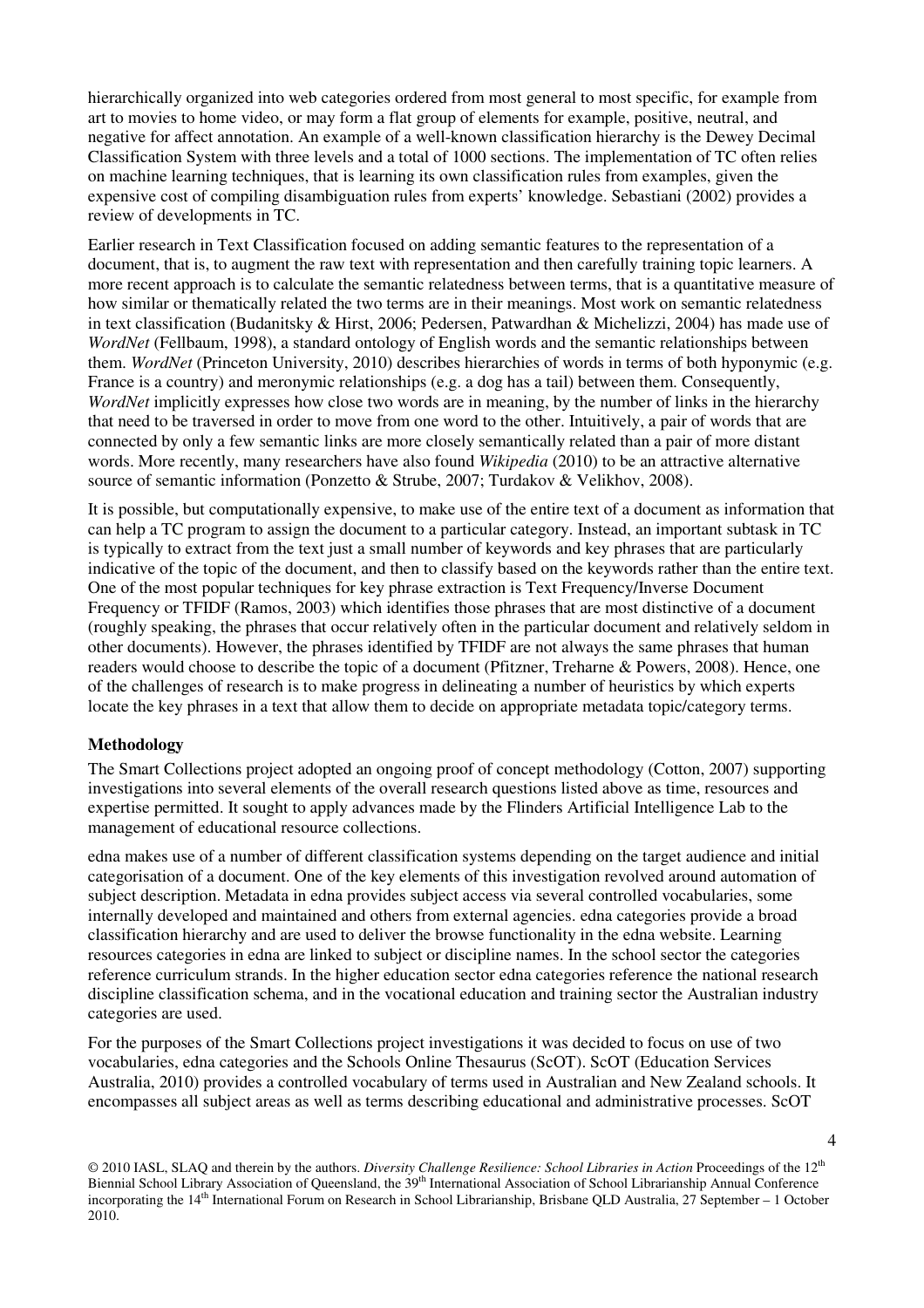hierarchically organized into web categories ordered from most general to most specific, for example from art to movies to home video, or may form a flat group of elements for example, positive, neutral, and negative for affect annotation. An example of a well-known classification hierarchy is the Dewey Decimal Classification System with three levels and a total of 1000 sections. The implementation of TC often relies on machine learning techniques, that is learning its own classification rules from examples, given the expensive cost of compiling disambiguation rules from experts' knowledge. Sebastiani (2002) provides a review of developments in TC.

Earlier research in Text Classification focused on adding semantic features to the representation of a document, that is, to augment the raw text with representation and then carefully training topic learners. A more recent approach is to calculate the semantic relatedness between terms, that is a quantitative measure of how similar or thematically related the two terms are in their meanings. Most work on semantic relatedness in text classification (Budanitsky & Hirst, 2006; Pedersen, Patwardhan & Michelizzi, 2004) has made use of *WordNet* (Fellbaum, 1998), a standard ontology of English words and the semantic relationships between them. *WordNet* (Princeton University, 2010) describes hierarchies of words in terms of both hyponymic (e.g. France is a country) and meronymic relationships (e.g. a dog has a tail) between them. Consequently, *WordNet* implicitly expresses how close two words are in meaning, by the number of links in the hierarchy that need to be traversed in order to move from one word to the other. Intuitively, a pair of words that are connected by only a few semantic links are more closely semantically related than a pair of more distant words. More recently, many researchers have also found *Wikipedia* (2010) to be an attractive alternative source of semantic information (Ponzetto & Strube, 2007; Turdakov & Velikhov, 2008).

It is possible, but computationally expensive, to make use of the entire text of a document as information that can help a TC program to assign the document to a particular category. Instead, an important subtask in TC is typically to extract from the text just a small number of keywords and key phrases that are particularly indicative of the topic of the document, and then to classify based on the keywords rather than the entire text. One of the most popular techniques for key phrase extraction is Text Frequency/Inverse Document Frequency or TFIDF (Ramos, 2003) which identifies those phrases that are most distinctive of a document (roughly speaking, the phrases that occur relatively often in the particular document and relatively seldom in other documents). However, the phrases identified by TFIDF are not always the same phrases that human readers would choose to describe the topic of a document (Pfitzner, Treharne & Powers, 2008). Hence, one of the challenges of research is to make progress in delineating a number of heuristics by which experts locate the key phrases in a text that allow them to decide on appropriate metadata topic/category terms.

#### **Methodology**

The Smart Collections project adopted an ongoing proof of concept methodology (Cotton, 2007) supporting investigations into several elements of the overall research questions listed above as time, resources and expertise permitted. It sought to apply advances made by the Flinders Artificial Intelligence Lab to the management of educational resource collections.

edna makes use of a number of different classification systems depending on the target audience and initial categorisation of a document. One of the key elements of this investigation revolved around automation of subject description. Metadata in edna provides subject access via several controlled vocabularies, some internally developed and maintained and others from external agencies. edna categories provide a broad classification hierarchy and are used to deliver the browse functionality in the edna website. Learning resources categories in edna are linked to subject or discipline names. In the school sector the categories reference curriculum strands. In the higher education sector edna categories reference the national research discipline classification schema, and in the vocational education and training sector the Australian industry categories are used.

For the purposes of the Smart Collections project investigations it was decided to focus on use of two vocabularies, edna categories and the Schools Online Thesaurus (ScOT). ScOT (Education Services Australia, 2010) provides a controlled vocabulary of terms used in Australian and New Zealand schools. It encompasses all subject areas as well as terms describing educational and administrative processes. ScOT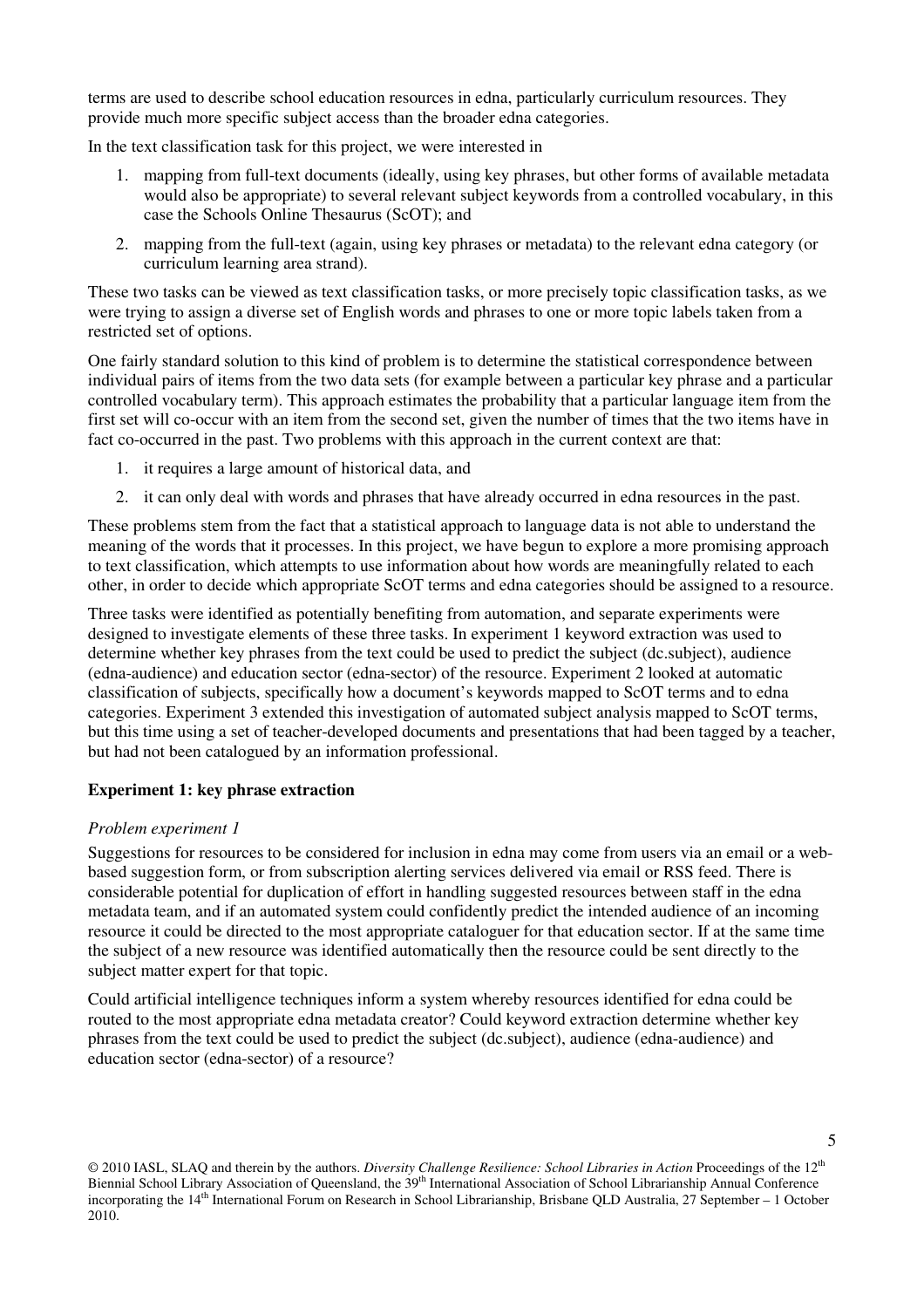terms are used to describe school education resources in edna, particularly curriculum resources. They provide much more specific subject access than the broader edna categories.

In the text classification task for this project, we were interested in

- 1. mapping from full-text documents (ideally, using key phrases, but other forms of available metadata would also be appropriate) to several relevant subject keywords from a controlled vocabulary, in this case the Schools Online Thesaurus (ScOT); and
- 2. mapping from the full-text (again, using key phrases or metadata) to the relevant edna category (or curriculum learning area strand).

These two tasks can be viewed as text classification tasks, or more precisely topic classification tasks, as we were trying to assign a diverse set of English words and phrases to one or more topic labels taken from a restricted set of options.

One fairly standard solution to this kind of problem is to determine the statistical correspondence between individual pairs of items from the two data sets (for example between a particular key phrase and a particular controlled vocabulary term). This approach estimates the probability that a particular language item from the first set will co-occur with an item from the second set, given the number of times that the two items have in fact co-occurred in the past. Two problems with this approach in the current context are that:

- 1. it requires a large amount of historical data, and
- 2. it can only deal with words and phrases that have already occurred in edna resources in the past.

These problems stem from the fact that a statistical approach to language data is not able to understand the meaning of the words that it processes. In this project, we have begun to explore a more promising approach to text classification, which attempts to use information about how words are meaningfully related to each other, in order to decide which appropriate ScOT terms and edna categories should be assigned to a resource.

Three tasks were identified as potentially benefiting from automation, and separate experiments were designed to investigate elements of these three tasks. In experiment 1 keyword extraction was used to determine whether key phrases from the text could be used to predict the subject (dc.subject), audience (edna-audience) and education sector (edna-sector) of the resource. Experiment 2 looked at automatic classification of subjects, specifically how a document's keywords mapped to ScOT terms and to edna categories. Experiment 3 extended this investigation of automated subject analysis mapped to ScOT terms, but this time using a set of teacher-developed documents and presentations that had been tagged by a teacher, but had not been catalogued by an information professional.

# **Experiment 1: key phrase extraction**

#### *Problem experiment 1*

Suggestions for resources to be considered for inclusion in edna may come from users via an email or a webbased suggestion form, or from subscription alerting services delivered via email or RSS feed. There is considerable potential for duplication of effort in handling suggested resources between staff in the edna metadata team, and if an automated system could confidently predict the intended audience of an incoming resource it could be directed to the most appropriate cataloguer for that education sector. If at the same time the subject of a new resource was identified automatically then the resource could be sent directly to the subject matter expert for that topic.

Could artificial intelligence techniques inform a system whereby resources identified for edna could be routed to the most appropriate edna metadata creator? Could keyword extraction determine whether key phrases from the text could be used to predict the subject (dc.subject), audience (edna-audience) and education sector (edna-sector) of a resource?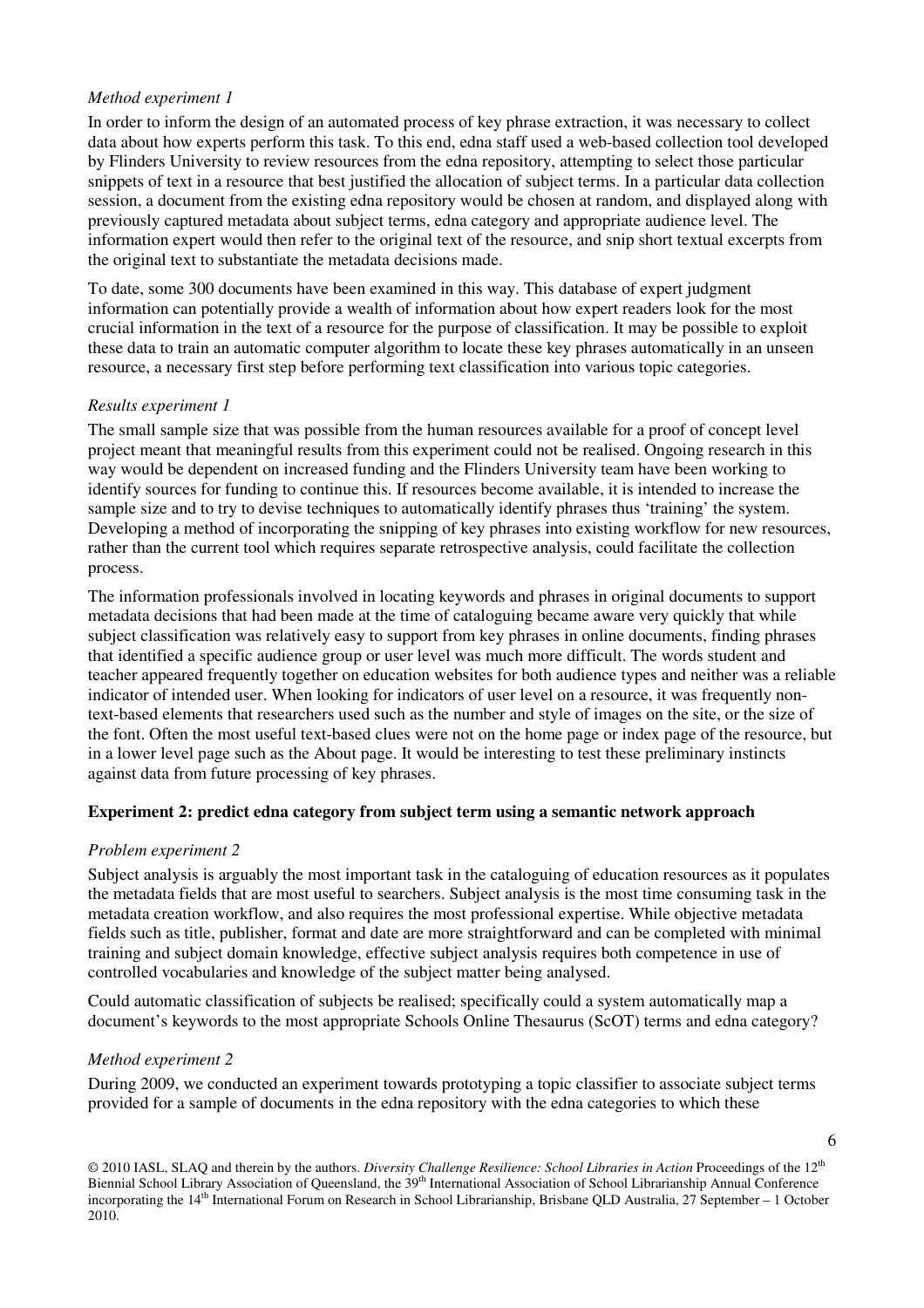## *Method experiment 1*

In order to inform the design of an automated process of key phrase extraction, it was necessary to collect data about how experts perform this task. To this end, edna staff used a web-based collection tool developed by Flinders University to review resources from the edna repository, attempting to select those particular snippets of text in a resource that best justified the allocation of subject terms. In a particular data collection session, a document from the existing edna repository would be chosen at random, and displayed along with previously captured metadata about subject terms, edna category and appropriate audience level. The information expert would then refer to the original text of the resource, and snip short textual excerpts from the original text to substantiate the metadata decisions made.

To date, some 300 documents have been examined in this way. This database of expert judgment information can potentially provide a wealth of information about how expert readers look for the most crucial information in the text of a resource for the purpose of classification. It may be possible to exploit these data to train an automatic computer algorithm to locate these key phrases automatically in an unseen resource, a necessary first step before performing text classification into various topic categories.

## *Results experiment 1*

The small sample size that was possible from the human resources available for a proof of concept level project meant that meaningful results from this experiment could not be realised. Ongoing research in this way would be dependent on increased funding and the Flinders University team have been working to identify sources for funding to continue this. If resources become available, it is intended to increase the sample size and to try to devise techniques to automatically identify phrases thus 'training' the system. Developing a method of incorporating the snipping of key phrases into existing workflow for new resources, rather than the current tool which requires separate retrospective analysis, could facilitate the collection process.

The information professionals involved in locating keywords and phrases in original documents to support metadata decisions that had been made at the time of cataloguing became aware very quickly that while subject classification was relatively easy to support from key phrases in online documents, finding phrases that identified a specific audience group or user level was much more difficult. The words student and teacher appeared frequently together on education websites for both audience types and neither was a reliable indicator of intended user. When looking for indicators of user level on a resource, it was frequently nontext-based elements that researchers used such as the number and style of images on the site, or the size of the font. Often the most useful text-based clues were not on the home page or index page of the resource, but in a lower level page such as the About page. It would be interesting to test these preliminary instincts against data from future processing of key phrases.

#### **Experiment 2: predict edna category from subject term using a semantic network approach**

#### *Problem experiment 2*

Subject analysis is arguably the most important task in the cataloguing of education resources as it populates the metadata fields that are most useful to searchers. Subject analysis is the most time consuming task in the metadata creation workflow, and also requires the most professional expertise. While objective metadata fields such as title, publisher, format and date are more straightforward and can be completed with minimal training and subject domain knowledge, effective subject analysis requires both competence in use of controlled vocabularies and knowledge of the subject matter being analysed.

Could automatic classification of subjects be realised; specifically could a system automatically map a document's keywords to the most appropriate Schools Online Thesaurus (ScOT) terms and edna category?

#### *Method experiment 2*

During 2009, we conducted an experiment towards prototyping a topic classifier to associate subject terms provided for a sample of documents in the edna repository with the edna categories to which these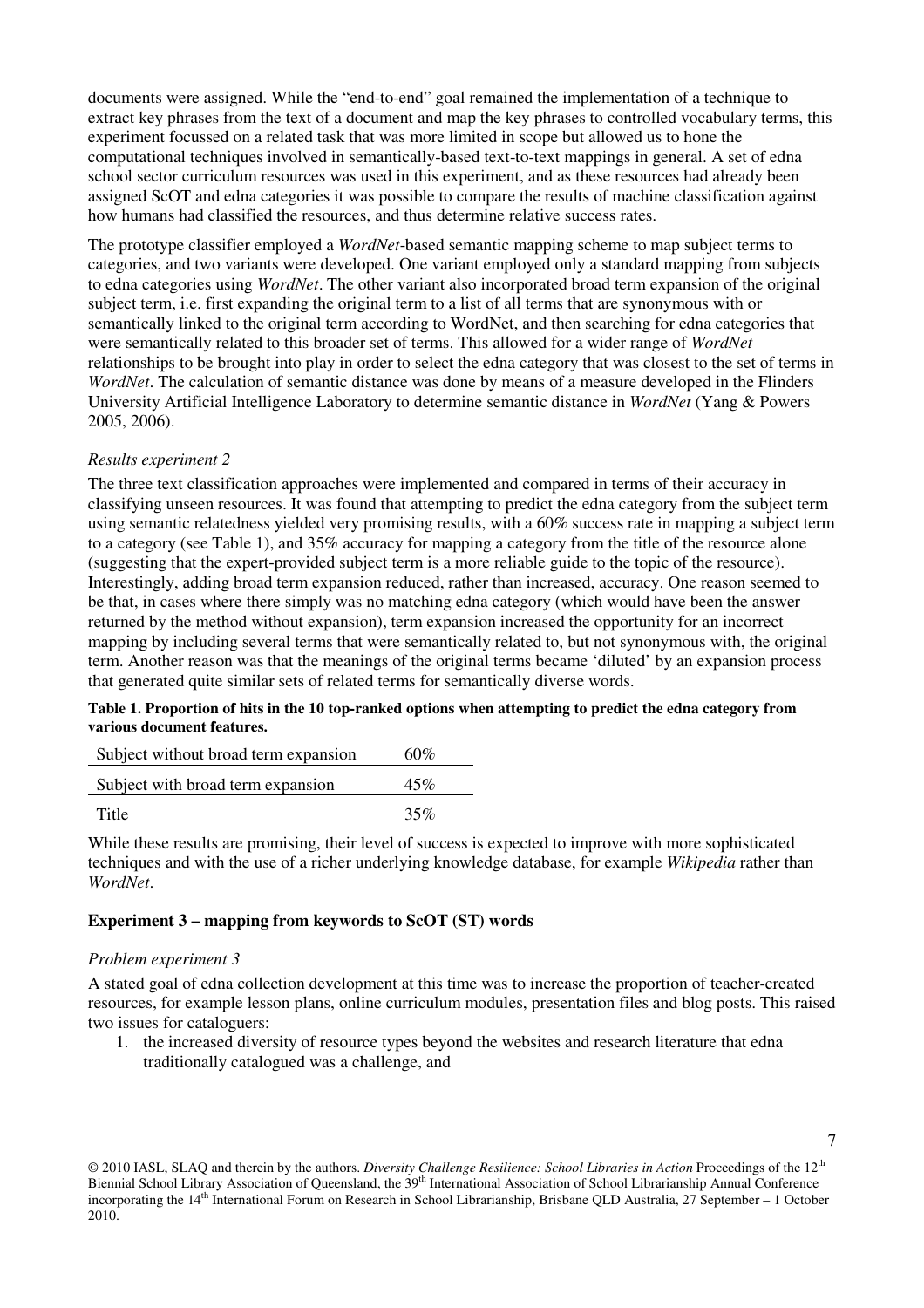documents were assigned. While the "end-to-end" goal remained the implementation of a technique to extract key phrases from the text of a document and map the key phrases to controlled vocabulary terms, this experiment focussed on a related task that was more limited in scope but allowed us to hone the computational techniques involved in semantically-based text-to-text mappings in general. A set of edna school sector curriculum resources was used in this experiment, and as these resources had already been assigned ScOT and edna categories it was possible to compare the results of machine classification against how humans had classified the resources, and thus determine relative success rates.

The prototype classifier employed a *WordNet*-based semantic mapping scheme to map subject terms to categories, and two variants were developed. One variant employed only a standard mapping from subjects to edna categories using *WordNet*. The other variant also incorporated broad term expansion of the original subject term, i.e. first expanding the original term to a list of all terms that are synonymous with or semantically linked to the original term according to WordNet, and then searching for edna categories that were semantically related to this broader set of terms. This allowed for a wider range of *WordNet* relationships to be brought into play in order to select the edna category that was closest to the set of terms in *WordNet*. The calculation of semantic distance was done by means of a measure developed in the Flinders University Artificial Intelligence Laboratory to determine semantic distance in *WordNet* (Yang & Powers 2005, 2006).

#### *Results experiment 2*

The three text classification approaches were implemented and compared in terms of their accuracy in classifying unseen resources. It was found that attempting to predict the edna category from the subject term using semantic relatedness yielded very promising results, with a 60% success rate in mapping a subject term to a category (see Table 1), and 35% accuracy for mapping a category from the title of the resource alone (suggesting that the expert-provided subject term is a more reliable guide to the topic of the resource). Interestingly, adding broad term expansion reduced, rather than increased, accuracy. One reason seemed to be that, in cases where there simply was no matching edna category (which would have been the answer returned by the method without expansion), term expansion increased the opportunity for an incorrect mapping by including several terms that were semantically related to, but not synonymous with, the original term. Another reason was that the meanings of the original terms became 'diluted' by an expansion process that generated quite similar sets of related terms for semantically diverse words.

#### **Table 1. Proportion of hits in the 10 top-ranked options when attempting to predict the edna category from various document features.**

| Subject without broad term expansion | 60% |
|--------------------------------------|-----|
| Subject with broad term expansion    | 45% |
| Title                                | 35% |

While these results are promising, their level of success is expected to improve with more sophisticated techniques and with the use of a richer underlying knowledge database, for example *Wikipedia* rather than *WordNet*.

#### **Experiment 3 – mapping from keywords to ScOT (ST) words**

#### *Problem experiment 3*

A stated goal of edna collection development at this time was to increase the proportion of teacher-created resources, for example lesson plans, online curriculum modules, presentation files and blog posts. This raised two issues for cataloguers:

1. the increased diversity of resource types beyond the websites and research literature that edna traditionally catalogued was a challenge, and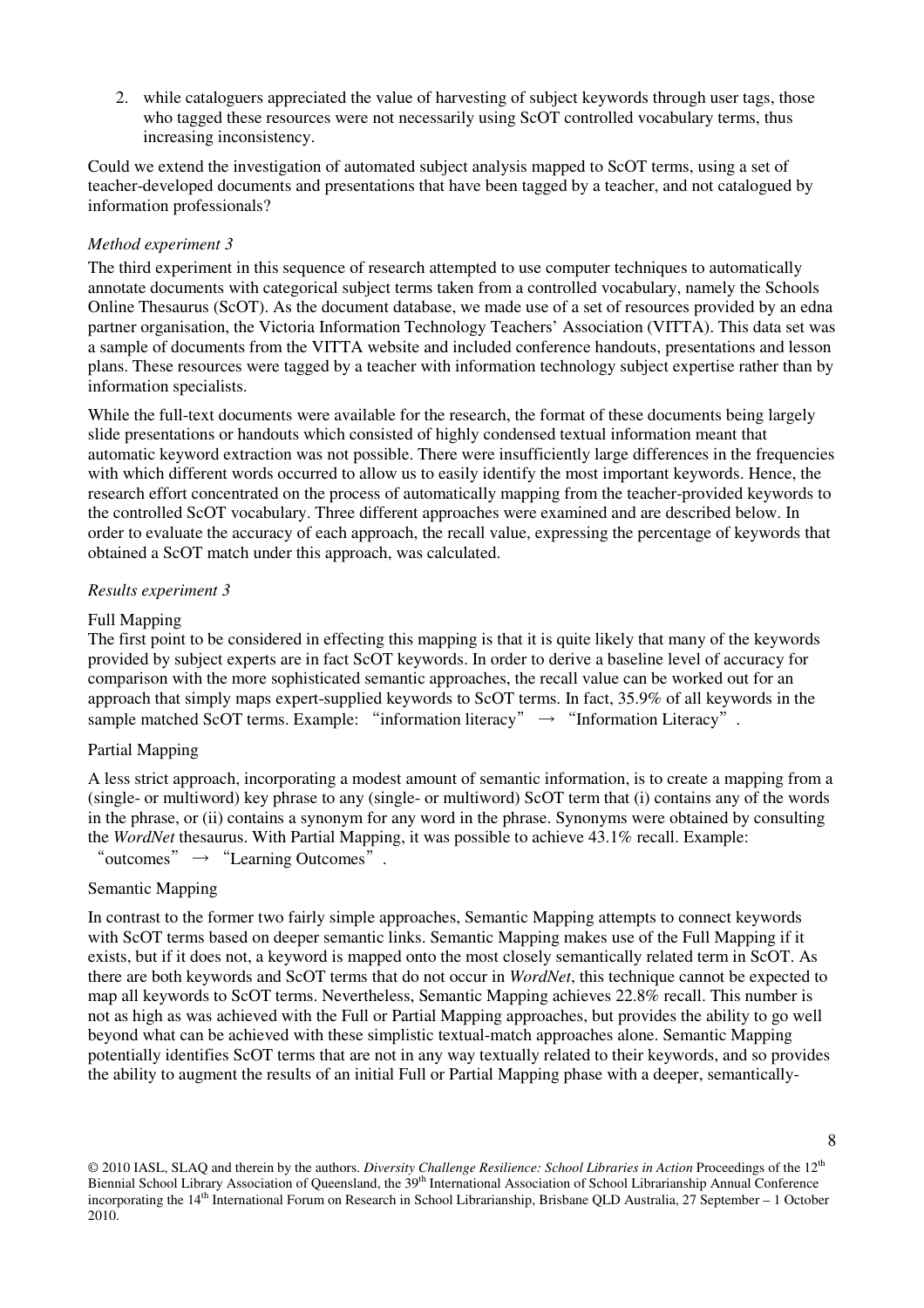2. while cataloguers appreciated the value of harvesting of subject keywords through user tags, those who tagged these resources were not necessarily using ScOT controlled vocabulary terms, thus increasing inconsistency.

Could we extend the investigation of automated subject analysis mapped to ScOT terms, using a set of teacher-developed documents and presentations that have been tagged by a teacher, and not catalogued by information professionals?

## *Method experiment 3*

The third experiment in this sequence of research attempted to use computer techniques to automatically annotate documents with categorical subject terms taken from a controlled vocabulary, namely the Schools Online Thesaurus (ScOT). As the document database, we made use of a set of resources provided by an edna partner organisation, the Victoria Information Technology Teachers' Association (VITTA). This data set was a sample of documents from the VITTA website and included conference handouts, presentations and lesson plans. These resources were tagged by a teacher with information technology subject expertise rather than by information specialists.

While the full-text documents were available for the research, the format of these documents being largely slide presentations or handouts which consisted of highly condensed textual information meant that automatic keyword extraction was not possible. There were insufficiently large differences in the frequencies with which different words occurred to allow us to easily identify the most important keywords. Hence, the research effort concentrated on the process of automatically mapping from the teacher-provided keywords to the controlled ScOT vocabulary. Three different approaches were examined and are described below. In order to evaluate the accuracy of each approach, the recall value, expressing the percentage of keywords that obtained a ScOT match under this approach, was calculated.

## *Results experiment 3*

#### Full Mapping

The first point to be considered in effecting this mapping is that it is quite likely that many of the keywords provided by subject experts are in fact ScOT keywords. In order to derive a baseline level of accuracy for comparison with the more sophisticated semantic approaches, the recall value can be worked out for an approach that simply maps expert-supplied keywords to ScOT terms. In fact, 35.9% of all keywords in the sample matched ScOT terms. Example: "information literacy"  $\rightarrow$  "Information Literacy".

#### Partial Mapping

A less strict approach, incorporating a modest amount of semantic information, is to create a mapping from a (single- or multiword) key phrase to any (single- or multiword) ScOT term that (i) contains any of the words in the phrase, or (ii) contains a synonym for any word in the phrase. Synonyms were obtained by consulting the *WordNet* thesaurus. With Partial Mapping, it was possible to achieve 43.1% recall. Example: "outcomes"  $\rightarrow$  "Learning Outcomes".

#### Semantic Mapping

In contrast to the former two fairly simple approaches, Semantic Mapping attempts to connect keywords with ScOT terms based on deeper semantic links. Semantic Mapping makes use of the Full Mapping if it exists, but if it does not, a keyword is mapped onto the most closely semantically related term in ScOT. As there are both keywords and ScOT terms that do not occur in *WordNet*, this technique cannot be expected to map all keywords to ScOT terms. Nevertheless, Semantic Mapping achieves 22.8% recall. This number is not as high as was achieved with the Full or Partial Mapping approaches, but provides the ability to go well beyond what can be achieved with these simplistic textual-match approaches alone. Semantic Mapping potentially identifies ScOT terms that are not in any way textually related to their keywords, and so provides the ability to augment the results of an initial Full or Partial Mapping phase with a deeper, semantically-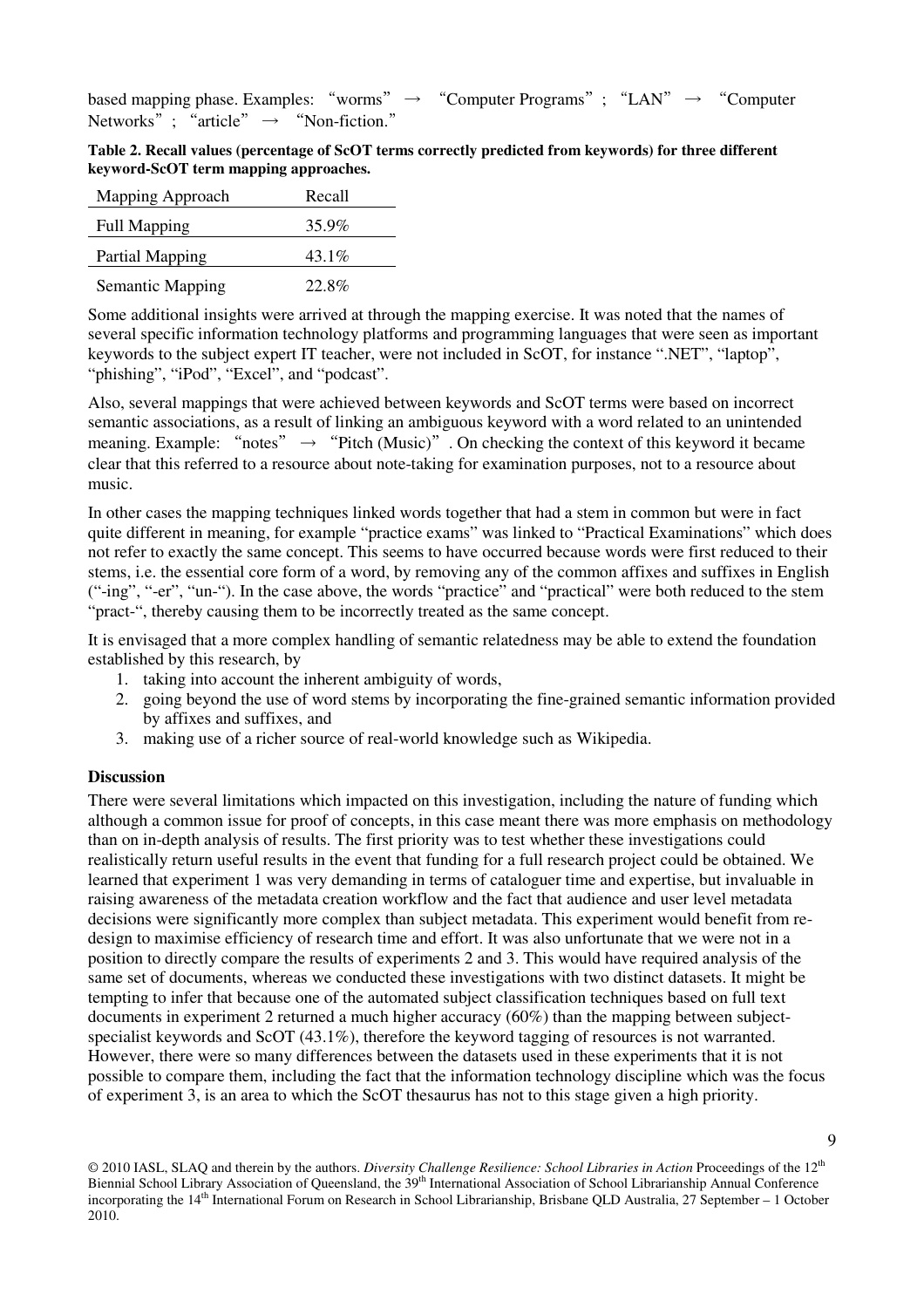based mapping phase. Examples: "worms"  $\rightarrow$  "Computer Programs"; "LAN"  $\rightarrow$  "Computer Networks"; "article"  $\rightarrow$  "Non-fiction."

|                                       | Table 2. Recall values (percentage of ScOT terms correctly predicted from keywords) for three different |  |
|---------------------------------------|---------------------------------------------------------------------------------------------------------|--|
| keyword-ScOT term mapping approaches. |                                                                                                         |  |

| Mapping Approach        | Recall   |
|-------------------------|----------|
| <b>Full Mapping</b>     | 35.9%    |
| Partial Mapping         | $43.1\%$ |
| <b>Semantic Mapping</b> | 22.8%    |

Some additional insights were arrived at through the mapping exercise. It was noted that the names of several specific information technology platforms and programming languages that were seen as important keywords to the subject expert IT teacher, were not included in ScOT, for instance ".NET", "laptop", "phishing", "iPod", "Excel", and "podcast".

Also, several mappings that were achieved between keywords and ScOT terms were based on incorrect semantic associations, as a result of linking an ambiguous keyword with a word related to an unintended meaning. Example: "notes"  $\rightarrow$  "Pitch (Music)". On checking the context of this keyword it became clear that this referred to a resource about note-taking for examination purposes, not to a resource about music.

In other cases the mapping techniques linked words together that had a stem in common but were in fact quite different in meaning, for example "practice exams" was linked to "Practical Examinations" which does not refer to exactly the same concept. This seems to have occurred because words were first reduced to their stems, i.e. the essential core form of a word, by removing any of the common affixes and suffixes in English ("-ing", "-er", "un-"). In the case above, the words "practice" and "practical" were both reduced to the stem "pract-", thereby causing them to be incorrectly treated as the same concept.

It is envisaged that a more complex handling of semantic relatedness may be able to extend the foundation established by this research, by

- 1. taking into account the inherent ambiguity of words,
- 2. going beyond the use of word stems by incorporating the fine-grained semantic information provided by affixes and suffixes, and
- 3. making use of a richer source of real-world knowledge such as Wikipedia.

#### **Discussion**

There were several limitations which impacted on this investigation, including the nature of funding which although a common issue for proof of concepts, in this case meant there was more emphasis on methodology than on in-depth analysis of results. The first priority was to test whether these investigations could realistically return useful results in the event that funding for a full research project could be obtained. We learned that experiment 1 was very demanding in terms of cataloguer time and expertise, but invaluable in raising awareness of the metadata creation workflow and the fact that audience and user level metadata decisions were significantly more complex than subject metadata. This experiment would benefit from redesign to maximise efficiency of research time and effort. It was also unfortunate that we were not in a position to directly compare the results of experiments 2 and 3. This would have required analysis of the same set of documents, whereas we conducted these investigations with two distinct datasets. It might be tempting to infer that because one of the automated subject classification techniques based on full text documents in experiment 2 returned a much higher accuracy (60%) than the mapping between subjectspecialist keywords and ScOT (43.1%), therefore the keyword tagging of resources is not warranted. However, there were so many differences between the datasets used in these experiments that it is not possible to compare them, including the fact that the information technology discipline which was the focus of experiment 3, is an area to which the ScOT thesaurus has not to this stage given a high priority.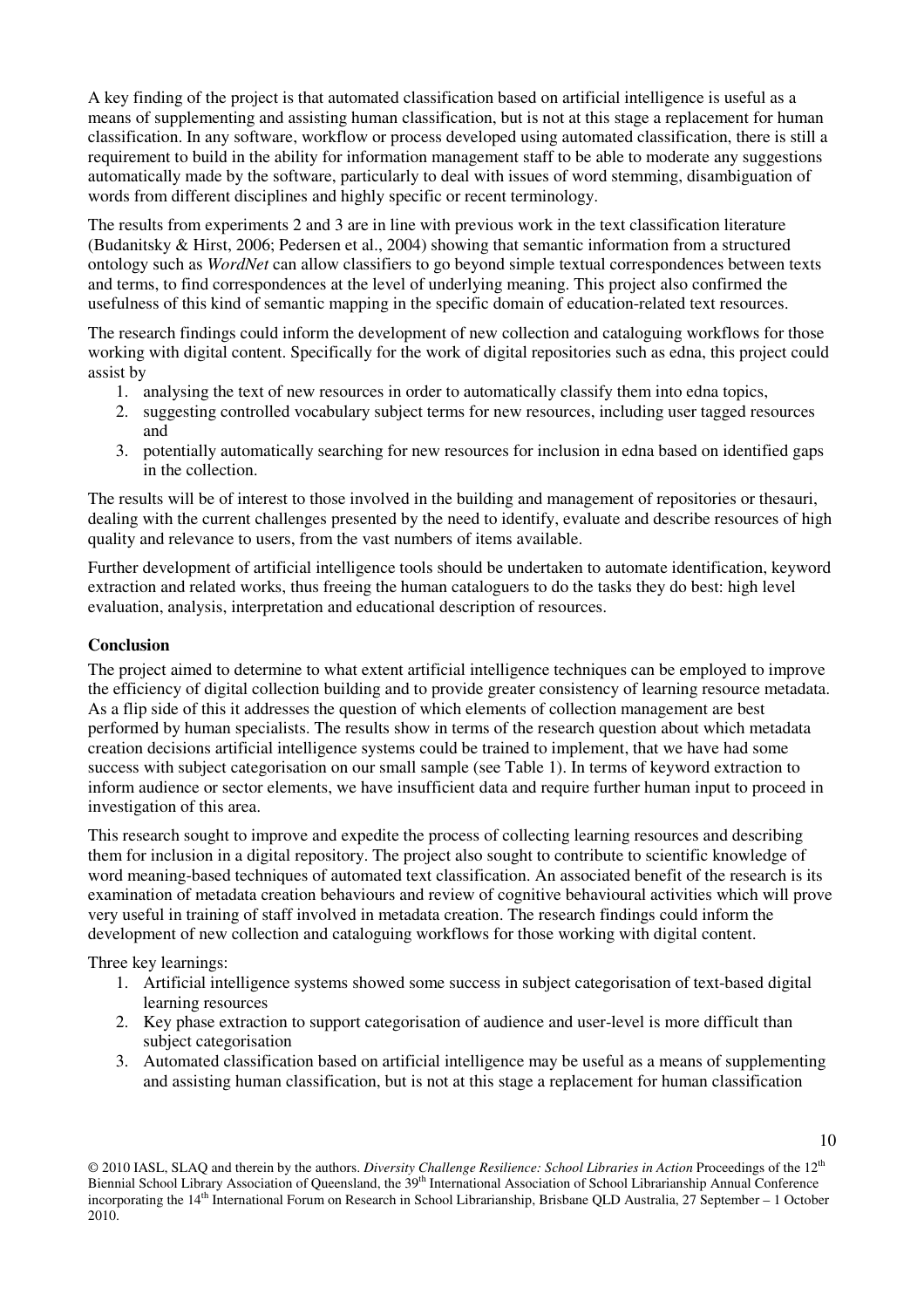A key finding of the project is that automated classification based on artificial intelligence is useful as a means of supplementing and assisting human classification, but is not at this stage a replacement for human classification. In any software, workflow or process developed using automated classification, there is still a requirement to build in the ability for information management staff to be able to moderate any suggestions automatically made by the software, particularly to deal with issues of word stemming, disambiguation of words from different disciplines and highly specific or recent terminology.

The results from experiments 2 and 3 are in line with previous work in the text classification literature (Budanitsky & Hirst, 2006; Pedersen et al., 2004) showing that semantic information from a structured ontology such as *WordNet* can allow classifiers to go beyond simple textual correspondences between texts and terms, to find correspondences at the level of underlying meaning. This project also confirmed the usefulness of this kind of semantic mapping in the specific domain of education-related text resources.

The research findings could inform the development of new collection and cataloguing workflows for those working with digital content. Specifically for the work of digital repositories such as edna, this project could assist by

- 1. analysing the text of new resources in order to automatically classify them into edna topics,
- 2. suggesting controlled vocabulary subject terms for new resources, including user tagged resources and
- 3. potentially automatically searching for new resources for inclusion in edna based on identified gaps in the collection.

The results will be of interest to those involved in the building and management of repositories or thesauri, dealing with the current challenges presented by the need to identify, evaluate and describe resources of high quality and relevance to users, from the vast numbers of items available.

Further development of artificial intelligence tools should be undertaken to automate identification, keyword extraction and related works, thus freeing the human cataloguers to do the tasks they do best: high level evaluation, analysis, interpretation and educational description of resources.

# **Conclusion**

The project aimed to determine to what extent artificial intelligence techniques can be employed to improve the efficiency of digital collection building and to provide greater consistency of learning resource metadata. As a flip side of this it addresses the question of which elements of collection management are best performed by human specialists. The results show in terms of the research question about which metadata creation decisions artificial intelligence systems could be trained to implement, that we have had some success with subject categorisation on our small sample (see Table 1). In terms of keyword extraction to inform audience or sector elements, we have insufficient data and require further human input to proceed in investigation of this area.

This research sought to improve and expedite the process of collecting learning resources and describing them for inclusion in a digital repository. The project also sought to contribute to scientific knowledge of word meaning-based techniques of automated text classification. An associated benefit of the research is its examination of metadata creation behaviours and review of cognitive behavioural activities which will prove very useful in training of staff involved in metadata creation. The research findings could inform the development of new collection and cataloguing workflows for those working with digital content.

Three key learnings:

- 1. Artificial intelligence systems showed some success in subject categorisation of text-based digital learning resources
- 2. Key phase extraction to support categorisation of audience and user-level is more difficult than subject categorisation
- 3. Automated classification based on artificial intelligence may be useful as a means of supplementing and assisting human classification, but is not at this stage a replacement for human classification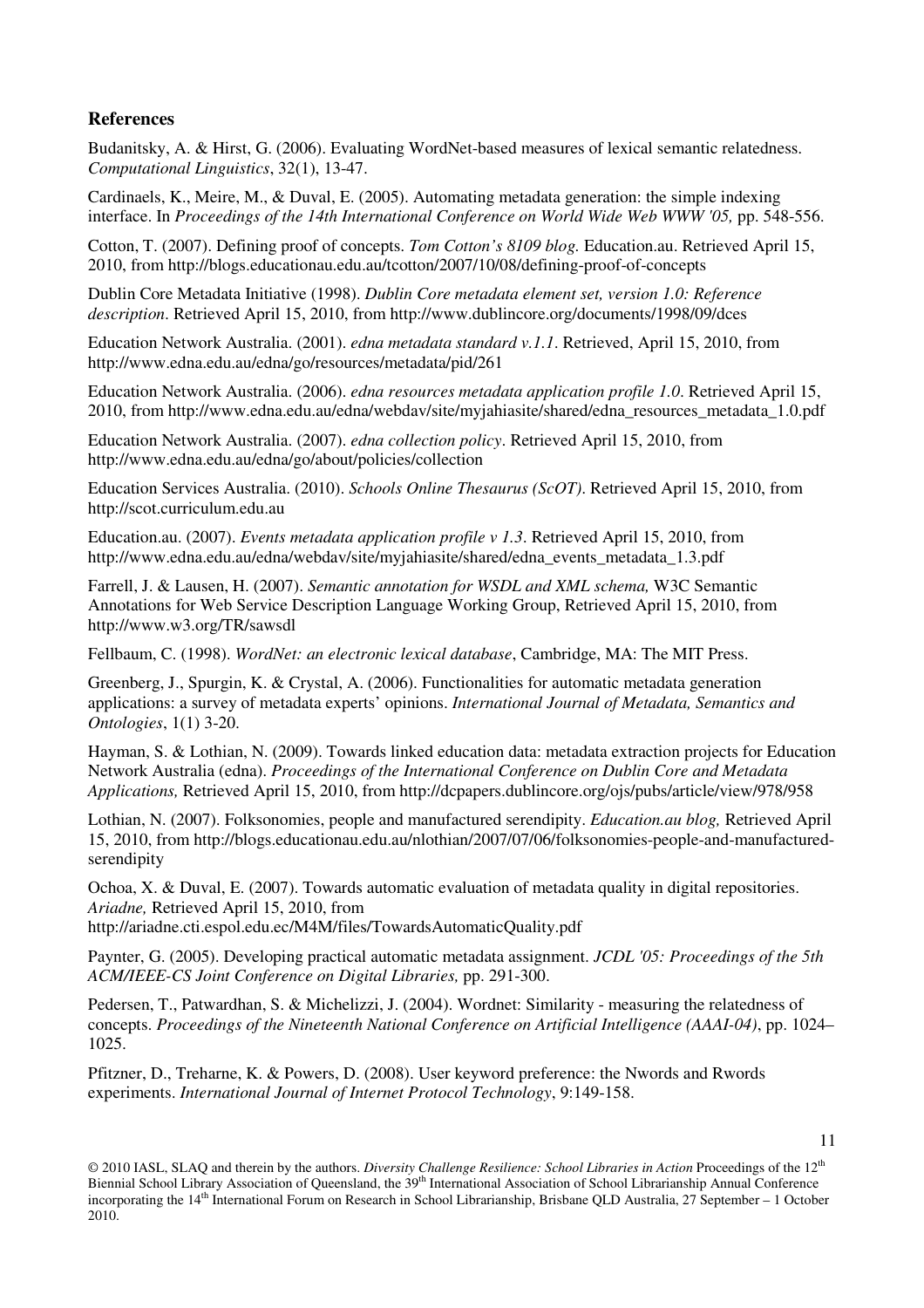## **References**

Budanitsky, A. & Hirst, G. (2006). Evaluating WordNet-based measures of lexical semantic relatedness. *Computational Linguistics*, 32(1), 13-47.

Cardinaels, K., Meire, M., & Duval, E. (2005). Automating metadata generation: the simple indexing interface. In *Proceedings of the 14th International Conference on World Wide Web WWW '05,* pp. 548-556.

Cotton, T. (2007). Defining proof of concepts. *Tom Cotton's 8109 blog.* Education.au. Retrieved April 15, 2010, from http://blogs.educationau.edu.au/tcotton/2007/10/08/defining-proof-of-concepts

Dublin Core Metadata Initiative (1998). *Dublin Core metadata element set, version 1.0: Reference description*. Retrieved April 15, 2010, from http://www.dublincore.org/documents/1998/09/dces

Education Network Australia. (2001). *edna metadata standard v.1.1*. Retrieved, April 15, 2010, from http://www.edna.edu.au/edna/go/resources/metadata/pid/261

Education Network Australia. (2006). *edna resources metadata application profile 1.0*. Retrieved April 15, 2010, from http://www.edna.edu.au/edna/webdav/site/myjahiasite/shared/edna\_resources\_metadata\_1.0.pdf

Education Network Australia. (2007). *edna collection policy*. Retrieved April 15, 2010, from http://www.edna.edu.au/edna/go/about/policies/collection

Education Services Australia. (2010). *Schools Online Thesaurus (ScOT)*. Retrieved April 15, 2010, from http://scot.curriculum.edu.au

Education.au. (2007). *Events metadata application profile v 1.3*. Retrieved April 15, 2010, from http://www.edna.edu.au/edna/webdav/site/myjahiasite/shared/edna\_events\_metadata\_1.3.pdf

Farrell, J. & Lausen, H. (2007). *Semantic annotation for WSDL and XML schema,* W3C Semantic Annotations for Web Service Description Language Working Group, Retrieved April 15, 2010, from http://www.w3.org/TR/sawsdl

Fellbaum, C. (1998). *WordNet: an electronic lexical database*, Cambridge, MA: The MIT Press.

Greenberg, J., Spurgin, K. & Crystal, A. (2006). Functionalities for automatic metadata generation applications: a survey of metadata experts' opinions. *International Journal of Metadata, Semantics and Ontologies*, 1(1) 3-20.

Hayman, S. & Lothian, N. (2009). Towards linked education data: metadata extraction projects for Education Network Australia (edna). *Proceedings of the International Conference on Dublin Core and Metadata Applications,* Retrieved April 15, 2010, from http://dcpapers.dublincore.org/ojs/pubs/article/view/978/958

Lothian, N. (2007). Folksonomies, people and manufactured serendipity. *Education.au blog,* Retrieved April 15, 2010, from http://blogs.educationau.edu.au/nlothian/2007/07/06/folksonomies-people-and-manufacturedserendipity

Ochoa, X. & Duval, E. (2007). Towards automatic evaluation of metadata quality in digital repositories. *Ariadne,* Retrieved April 15, 2010, from

http://ariadne.cti.espol.edu.ec/M4M/files/TowardsAutomaticQuality.pdf

Paynter, G. (2005). Developing practical automatic metadata assignment. *JCDL '05: Proceedings of the 5th ACM/IEEE-CS Joint Conference on Digital Libraries,* pp. 291-300.

Pedersen, T., Patwardhan, S. & Michelizzi, J. (2004). Wordnet: Similarity - measuring the relatedness of concepts. *Proceedings of the Nineteenth National Conference on Artificial Intelligence (AAAI-04)*, pp. 1024– 1025.

Pfitzner, D., Treharne, K. & Powers, D. (2008). User keyword preference: the Nwords and Rwords experiments. *International Journal of Internet Protocol Technology*, 9:149-158.